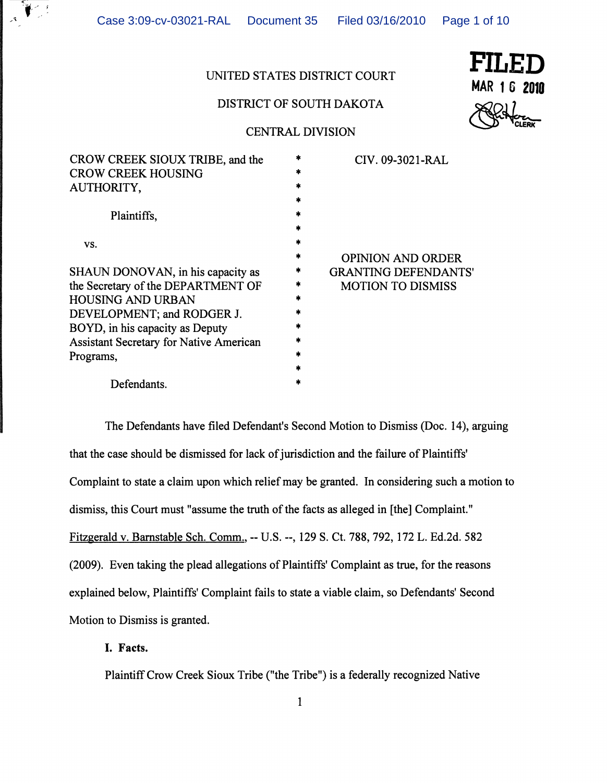Case 3:09-cv-03021-RAL Document 35 Filed 03/16/2010 Page 1 of 10

# UNITED STATES DISTRICT COURT FILED

# DISTRICT OF SOUTH DAKOTA



# CENTRAL DIVISION

| CROW CREEK SIOUX TRIBE, and the                |     | CIV. 09-3021-RAL            |
|------------------------------------------------|-----|-----------------------------|
| <b>CROW CREEK HOUSING</b>                      |     |                             |
| AUTHORITY,                                     |     |                             |
|                                                |     |                             |
| Plaintiffs,                                    |     |                             |
|                                                | *   |                             |
| VS.                                            | sk. |                             |
|                                                |     | <b>OPINION AND ORDER</b>    |
| SHAUN DONOVAN, in his capacity as              | *   | <b>GRANTING DEFENDANTS'</b> |
| the Secretary of the DEPARTMENT OF             | *   | <b>MOTION TO DISMISS</b>    |
| HOUSING AND URBAN                              |     |                             |
| DEVELOPMENT; and RODGER J.                     |     |                             |
| BOYD, in his capacity as Deputy                |     |                             |
| <b>Assistant Secretary for Native American</b> |     |                             |
| Programs,                                      |     |                             |
|                                                |     |                             |
| Defendants.                                    |     |                             |
|                                                |     |                             |

The Defendants have filed Defendant's Second Motion to Dismiss (Doc. 14), arguing that the case should be dismissed for lack of jurisdiction and the failure of Plaintiffs' Complaint to state a claim upon which relief may be granted. In considering such a motion to dismiss, this Court must "assume the truth of the facts as alleged in [the] Complaint." Fitzgerald v. Barnstable Sch. Comm., -- U.S. --, 129 S. Ct. 788, 792, 172 L. Ed.2d. 582 (2009). Even taking the plead allegations of Plaintiffs' Complaint as true, for the reasons explained below, Plaintiffs' Complaint fails to state a viable claim, so Defendants' Second Motion to Dismiss is granted.

## I. Facts.

Plaintiff Crow Creek Sioux Tribe ("the Tribe") is a federally recognized Native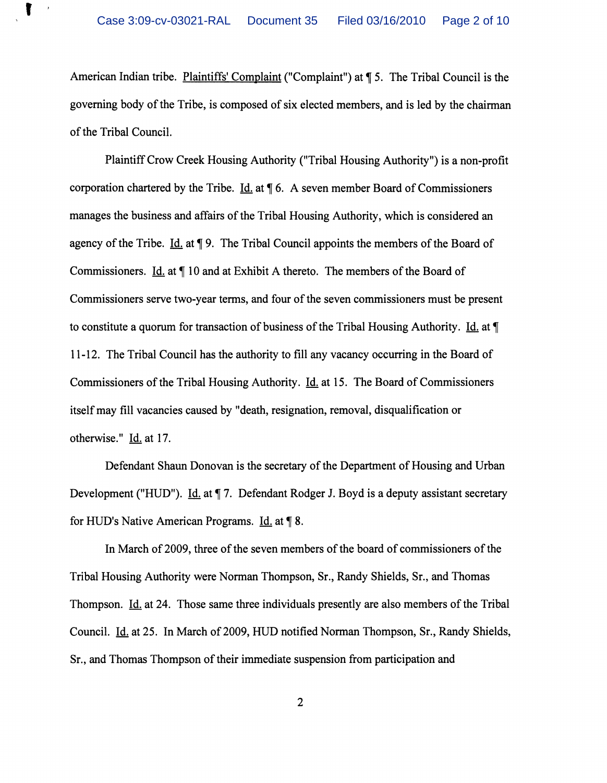$\mathbf{I}$ 

American Indian tribe. Plaintiffs' Complaint ("Complaint") at ¶ 5. The Tribal Council is the governing body of the Tribe, is composed of six elected members, and is led by the chairman of the Tribal Council.

Plaintiff Crow Creek Housing Authority ("Tribal Housing Authority") is a non-profit corporation chartered by the Tribe. Id. at  $\P$  6. A seven member Board of Commissioners manages the business and affairs of the Tribal Housing Authority, which is considered an agency of the Tribe. Id. at  $\P$  9. The Tribal Council appoints the members of the Board of Commissioners. Id. at  $\P$  10 and at Exhibit A thereto. The members of the Board of Commissioners serve two-year terms, and four of the seven commissioners must be present to constitute a quorum for transaction of business of the Tribal Housing Authority. Id. at  $\P$ 11-12. The Tribal Council has the authority to fill any vacancy occurring in the Board of Commissioners of the Tribal Housing Authority. Id. at 15. The Board of Commissioners itself may fill vacancies caused by "death, resignation, removal, disqualification or otherwise." Id. at 17.

Defendant Shaun Donovan is the secretary of the Department of Housing and Urban Development ("HUD"). Id. at ¶ 7. Defendant Rodger J. Boyd is a deputy assistant secretary for HUD's Native American Programs.  $\underline{Id}$  at  $\P$  8.

In March of 2009, three of the seven members of the board of commissioners of the Tribal Housing Authority were Norman Thompson, Sr., Randy Shields, Sr., and Thomas Thompson. Id. at 24. Those same three individuals presently are also members of the Tribal Council. Id. at 25. In March of 2009, HUD notified Norman Thompson, Sr., Randy Shields, Sr., and Thomas Thompson of their immediate suspension from participation and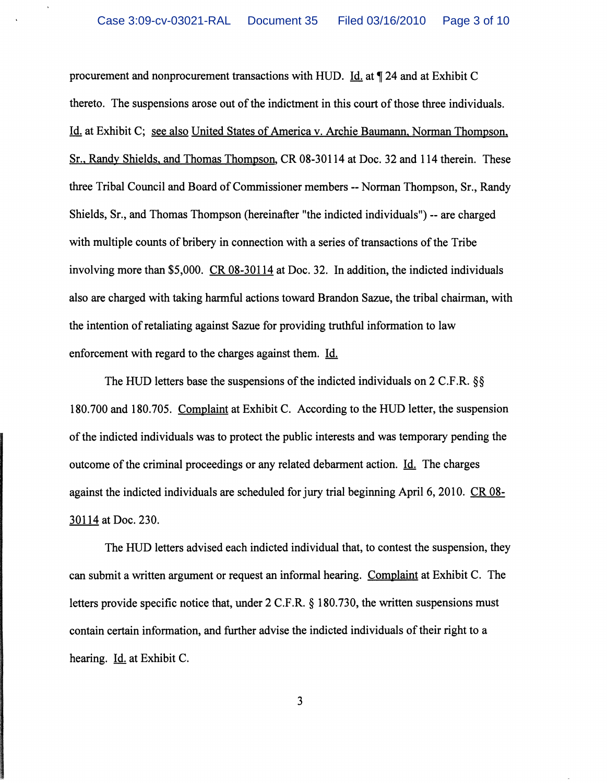procurement and nonprocurement transactions with HUD. Id. at  $\P$  24 and at Exhibit C thereto. The suspensions arose out of the indictment in this court of those three individuals. Id. at Exhibit C; see also United States of America v. Archie Baumann, Norman Thompson, Sr., Randy Shields, and Thomas Thompson, CR 08-30114 at Doc. 32 and 114 therein. These three Tribal Council and Board of Commissioner members -- Norman Thompson, Sr., Randy Shields, Sr., and Thomas Thompson (hereinafter "the indicted individuals") -- are charged with multiple counts of bribery in connection with a series of transactions of the Tribe involving more than \$5,000. CR 08-30114 at Doc. 32. In addition, the indicted individuals also are charged with taking harmful actions toward Brandon Sazue, the tribal chairman, with the intention of retaliating against Sazue for providing truthful information to law enforcement with regard to the charges against them. Id.

The HUD letters base the suspensions of the indicted individuals on 2 C.F.R. §§ 180.700 and 180.705. Complaint at Exhibit C. According to the HUD letter, the suspension of the indicted individuals was to protect the public interests and was temporary pending the outcome of the criminal proceedings or any related debarment action. Id. The charges against the indicted individuals are scheduled for jury trial beginning April 6, 2010. CR 08-30114 at Doc. 230.

The HUD letters advised each indicted individual that, to contest the suspension, they can submit a written argument or request an informal hearing. Complaint at Exhibit C. The letters provide specific notice that, under 2 C.F.R. § 180.730, the written suspensions must contain certain information, and further advise the indicted individuals of their right to a hearing. Id. at Exhibit C.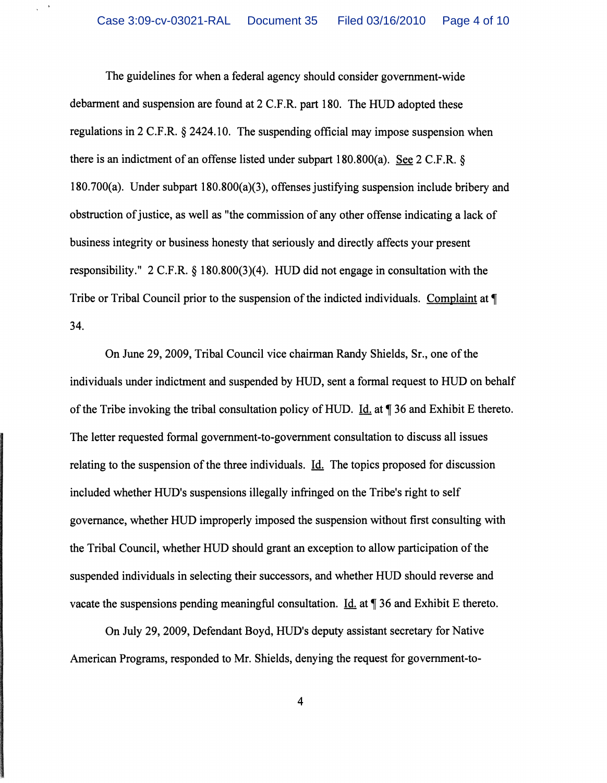$\,$  $\bar{\mathbf{v}}$ 

> The guidelines for when a federal agency should consider government-wide debarment and suspension are found at 2 C.F.R. part 180. The HUD adopted these regulations in 2 C.F.R. § 2424.10. The suspending official may impose suspension when there is an indictment of an offense listed under subpart 180.800(a). See 2 C.F.R. § 180.700(a). Under subpart 180.800(a)(3), offenses justifying suspension include bribery and obstruction of justice, as well as "the commission of any other offense indicating a lack of business integrity or business honesty that seriously and directly affects your present responsibility." 2 C.F.R. § 180.800(3)(4). HUD did not engage in consultation with the Tribe or Tribal Council prior to the suspension of the indicted individuals. Complaint at  $\P$ 34.

On June 29, 2009, Tribal Council vice chairman Randy Shields, Sr., one of the individuals under indictment and suspended by HUD, sent a formal request to HUD on behalf of the Tribe invoking the tribal consultation policy of HUD. Id. at  $\P$  36 and Exhibit E thereto. The letter requested formal government-to-government consultation to discuss all issues relating to the suspension of the three individuals. Id. The topics proposed for discussion included whether HUD's suspensions illegally infringed on the Tribe's right to self governance, whether HUD improperly imposed the suspension without first consulting with the Tribal Council, whether HUD should grant an exception to allow participation of the suspended individuals in selecting their successors, and whether HUD should reverse and vacate the suspensions pending meaningful consultation. Id. at  $\P$  36 and Exhibit E thereto.

On July 29, 2009, Defendant Boyd, HUD's deputy assistant secretary for Native American Programs, responded to Mr. Shields, denying the request for government-to-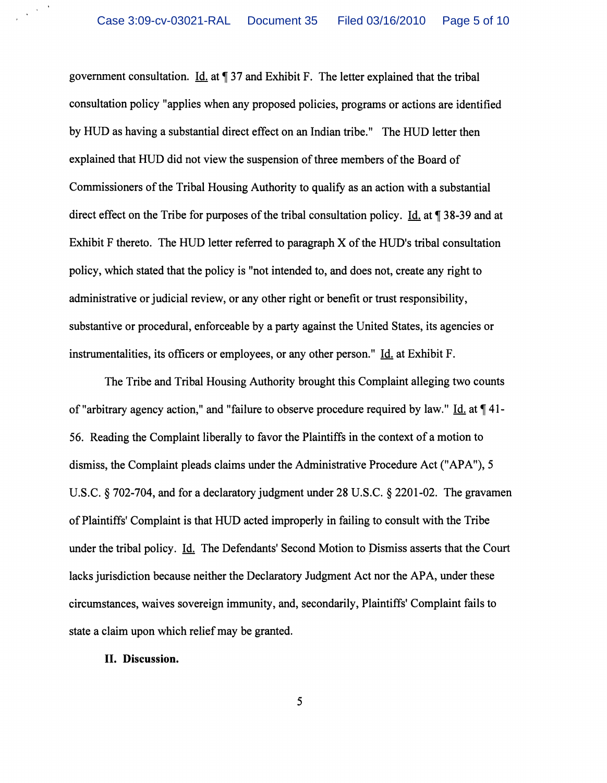government consultation. Id. at  $\P$  37 and Exhibit F. The letter explained that the tribal consultation policy "applies when any proposed policies, programs or actions are identified by HUD as having a substantial direct effect on an Indian tribe." The HUD letter then explained that HUD did not view the suspension of three members of the Board of Commissioners of the Tribal Housing Authority to qualify as an action with a substantial direct effect on the Tribe for purposes of the tribal consultation policy. Id. at  $\P$  38-39 and at Exhibit F thereto. The HUD letter referred to paragraph X of the HUD's tribal consultation policy, which stated that the policy is "not intended to, and does not, create any right to administrative or judicial review, or any other right or benefit or trust responsibility, substantive or procedural, enforceable by a party against the United States, its agencies or instrumentalities, its officers or employees, or any other person."  $\underline{Id}$ , at Exhibit F.

The Tribe and Tribal Housing Authority brought this Complaint alleging two counts of "arbitrary agency action," and "failure to observe procedure required by law." Id. at  $\P$  41-56. Reading the Complaint liberally to favor the Plaintiffs in the context of a motion to dismiss, the Complaint pleads claims under the Administrative Procedure Act ("APA"), 5 U.S.C. § 702-704, and for a declaratory judgment under 28 U.S.C. § 2201-02. The gravamen of Plaintiffs' Complaint is that HUD acted improperly in failing to consult with the Tribe under the tribal policy. Id. The Defendants' Second Motion to Dismiss asserts that the Court lacks jurisdiction because neither the Declaratory Judgment Act nor the APA, under these circumstances, waives sovereign immunity, and, secondarily, Plaintiffs' Complaint fails to state a claim upon which relief may be granted.

## II. Discussion.

 $\frac{1}{2}$  ,  $\frac{1}{2}$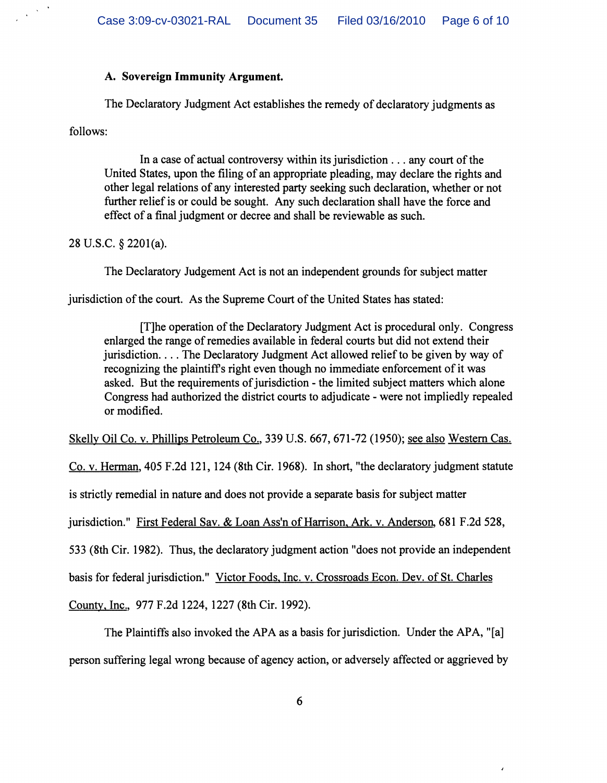#### A. Sovereign Immunity Argument.

The Declaratory Judgment Act establishes the remedy of declaratory judgments as

follows:

 $\frac{1}{2}$  ,  $\frac{1}{2}$ 

In a case of actual controversy within its jurisdiction  $\dots$  any court of the United States, upon the filing of an appropriate pleading, may declare the rights and other legal relations of any interested party seeking such declaration, whether or not further relief is or could be sought. Any such declaration shall have the force and effect of a final judgment or decree and shall be reviewable as such.

## 28 U.S.C. § 2201(a).

The Declaratory Judgement Act is not an independent grounds for subject matter

jurisdiction of the court. As the Supreme Court of the United States has stated:

[T]he operation of the Declaratory Judgment Act is procedural only. Congress enlarged the range of remedies available in federal courts but did not extend their jurisdiction.... The Declaratory Judgment Act allowed relief to be given by way of recognizing the plaintiffs right even though no immediate enforcement of it was asked. But the requirements of jurisdiction - the limited subject matters which alone Congress had authorized the district courts to adjudicate - were not impliedly repealed or modified.

Skelly Oil Co. v. Phillips Petroleum Co., 339 U.S. 667, 671-72 (1950); see also Western Cas.

Co. v. Herman, 405 F.2d 121,124 (8th Cir. 1968). In short, "the declaratory judgment statute

is strictly remedial in nature and does not provide a separate basis for subject matter

jurisdiction." First Federal Sav. & Loan Ass'n of Harrison, Ark. v. Anderson, 681 F.2d 528,

533 (8th Cir. 1982). Thus, the declaratory judgment action "does not provide an independent

basis for federal jurisdiction." Victor Foods, Inc. v. Crossroads Econ. Dev. of St. Charles

County, Inc., 977 F.2d 1224, 1227 (8th Cir. 1992).

The Plaintiffs also invoked the APA as a basis for jurisdiction. Under the APA, "[a] person suffering legal wrong because of agency action, or adversely affected or aggrieved by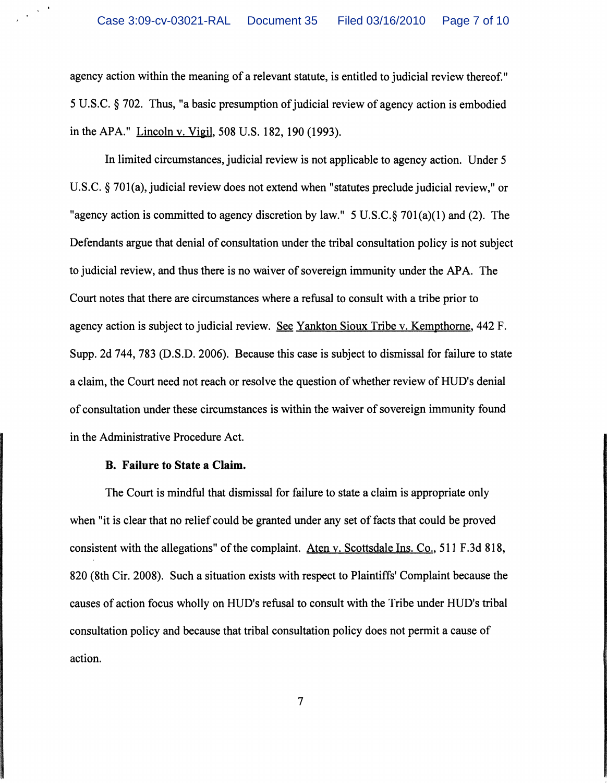agency action within the meaning of a relevant statute, is entitled to judicial review thereof." 5 U.S.C. § 702. Thus, "a basic presumption of judicial review of agency action is embodied in the APA." Lincoln v. Vigil, 508 U.S. 182,190 (1993).

In limited circumstances, judicial review is not applicable to agency action. Under 5 U.S.C. § 701(a), judicial review does not extend when "statutes preclude judicial review," or "agency action is committed to agency discretion by law."  $5 \text{ U.S.C.} \$ 701(a)(1)$  and (2). The Defendants argue that denial of consultation under the tribal consultation policy is not subject to judicial review, and thus there is no waiver of sovereign immunity under the APA. The Court notes that there are circumstances where a refusal to consult with a tribe prior to agency action is subject to judicial review. See Yankton Sioux Tribe v. Kempthome, 442 F. Supp. 2d 744, 783 (D.S.D. 2006). Because this case is subject to dismissal for failure to state a claim, the Court need not reach or resolve the question of whether review of HUD's denial of consultation under these circumstances is within the waiver of sovereign immunity found in the Administrative Procedure Act.

#### B. Failure to State a Claim.

 $\frac{1}{2}$  ,  $\frac{1}{2}$ 

The Court is mindful that dismissal for failure to state a claim is appropriate only when "it is clear that no relief could be granted under any set of facts that could be proved consistent with the allegations" of the complaint. Aten v. Scottsdale Ins. Co., 511 F.3d 818, 820 (8th Cir. 2008). Such a situation exists with respect to Plaintiffs' Complaint because the causes of action focus wholly on HUD's refusal to consult with the Tribe under HUD's tribal consultation policy and because that tribal consultation policy does not permit a cause of action.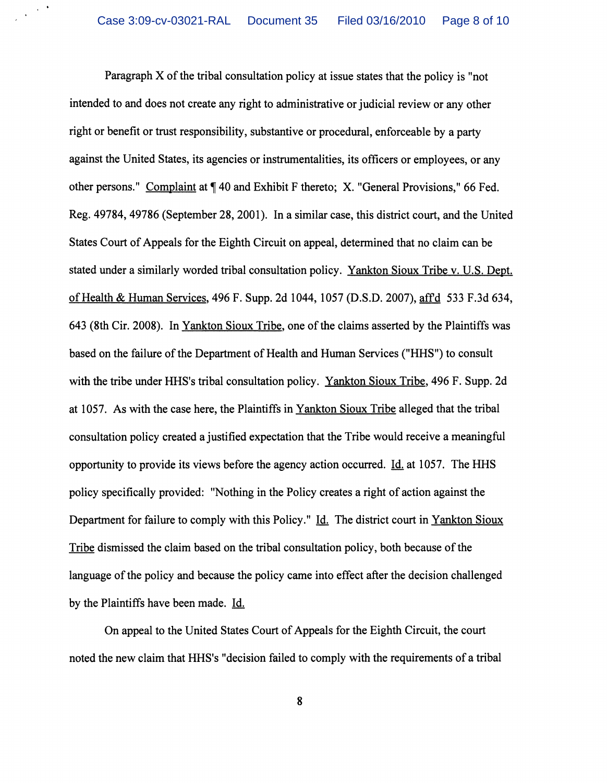$\sim$ 

Paragraph X of the tribal consultation policy at issue states that the policy is "not intended to and does not create any right to administrative or judicial review or any other right or benefit or trust responsibility, substantive or procedural, enforceable by a party against the United States, its agencies or instrumentalities, its officers or employees, or any other persons." Complaint at  $\P$  40 and Exhibit F thereto; X. "General Provisions," 66 Fed. Reg. 49784, 49786 (September 28, 2001). In a similar case, this district court, and the United States Court of Appeals for the Eighth Circuit on appeal, determined that no claim can be stated under a similarly worded tribal consultation policy. Yankton Sioux Tribe v. U.S. Dept. of Health & Human Services, 496 F. Supp. 2d 1044, 1057 (D.S.D. 2007), affd 533 F.3d 634, 643 (8th Cir. 2008). In Yankton Sioux Tribe, one of the claims asserted by the Plaintiffs was based on the failure of the Department of Health and Human Services ("HHS") to consult with the tribe under HHS's tribal consultation policy. Yankton Sioux Tribe, 496 F. Supp. 2d at 1057. As with the case here, the Plaintiffs in Yankton Sioux Tribe alleged that the tribal consultation policy created a justified expectation that the Tribe would receive a meaningful opportunity to provide its views before the agency action occurred. Id. at 1057. The HHS policy specifically provided: "Nothing in the Policy creates a right of action against the Department for failure to comply with this Policy." Id. The district court in Yankton Sioux Tribe dismissed the claim based on the tribal consultation policy, both because of the language of the policy and because the policy came into effect after the decision challenged by the Plaintiffs have been made. Id.

On appeal to the United States Court of Appeals for the Eighth Circuit, the court noted the new claim that HHS's "decision failed to comply with the requirements of a tribal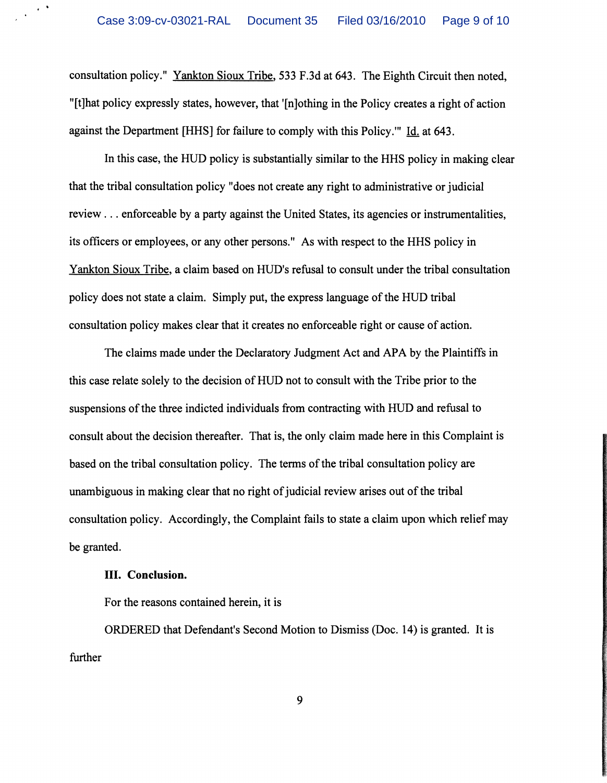consultation policy." Yankton Sioux Tribe, 533 F.3d at 643. The Eighth Circuit then noted, "[t]hat policy expressly states, however, that '[n]othing in the Policy creates a right of action against the Department [HHS] for failure to comply with this Policy." Id. at 643.

In this case, the HUD policy is substantially similar to the HHS policy in making clear that the tribal consultation policy "does not create any right to administrative or judicial review ... enforceable by a party against the United States, its agencies or instrumentalities, its officers or employees, or any other persons." As with respect to the HHS policy in Yankton Sioux Tribe, a claim based on HUD's refusal to consult under the tribal consultation policy does not state a claim. Simply put, the express language of the HUD tribal consultation policy makes clear that it creates no enforceable right or cause of action.

The claims made under the Declaratory Judgment Act and APA by the Plaintiffs in this case relate solely to the decision of HUD not to consult with the Tribe prior to the suspensions of the three indicted individuals from contracting with HUD and refusal to consult about the decision thereafter. That is, the only claim made here in this Complaint is based on the tribal consultation policy. The terms of the tribal consultation policy are unambiguous in making clear that no right of judicial review arises out of the tribal consultation policy. Accordingly, the Complaint fails to state a claim upon which relief may be granted.

#### III. Conclusion.

 $\sim$ 

For the reasons contained herein, it is

ORDERED that Defendant's Second Motion to Dismiss (Doc. 14) is granted. It is further